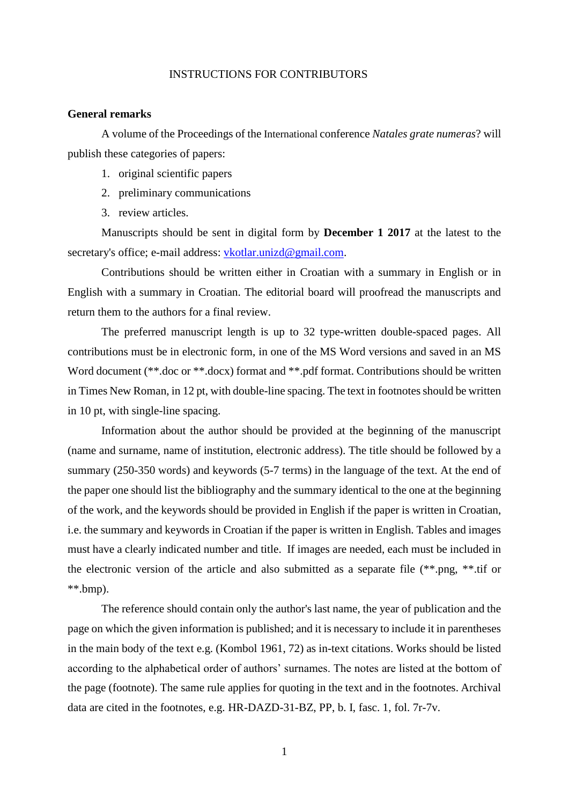## INSTRUCTIONS FOR CONTRIBUTORS

## **General remarks**

A volume of the Proceedings of the International conference *Natales grate numeras*? will publish these categories of papers:

- 1. original scientific papers
- 2. preliminary communications
- 3. review articles.

Manuscripts should be sent in digital form by **December 1 2017** at the latest to the secretary's office; e-mail address: [vkotlar.unizd@gmail.com.](mailto:vkotlar.unizd@gmail.com)

Contributions should be written either in Croatian with a summary in English or in English with a summary in Croatian. The editorial board will proofread the manuscripts and return them to the authors for a final review.

The preferred manuscript length is up to 32 type-written double-spaced pages. All contributions must be in electronic form, in one of the MS Word versions and saved in an MS Word document (\*\*.doc or \*\*.docx) format and \*\*.pdf format. Contributions should be written in Times New Roman, in 12 pt, with double-line spacing. The text in footnotes should be written in 10 pt, with single-line spacing.

Information about the author should be provided at the beginning of the manuscript (name and surname, name of institution, electronic address). The title should be followed by a summary (250-350 words) and keywords (5-7 terms) in the language of the text. At the end of the paper one should list the bibliography and the summary identical to the one at the beginning of the work, and the keywords should be provided in English if the paper is written in Croatian, i.e. the summary and keywords in Croatian if the paper is written in English. Tables and images must have a clearly indicated number and title. If images are needed, each must be included in the electronic version of the article and also submitted as a separate file (\*\*.png, \*\*.tif or  $**.$ bmp).

The reference should contain only the author's last name, the year of publication and the page on which the given information is published; and it is necessary to include it in parentheses in the main body of the text e.g. (Kombol 1961, 72) as in-text citations. Works should be listed according to the alphabetical order of authors' surnames. The notes are listed at the bottom of the page (footnote). The same rule applies for quoting in the text and in the footnotes. Archival data are cited in the footnotes, e.g. HR-DAZD-31-BZ, PP, b. I, fasc. 1, fol. 7r-7v.